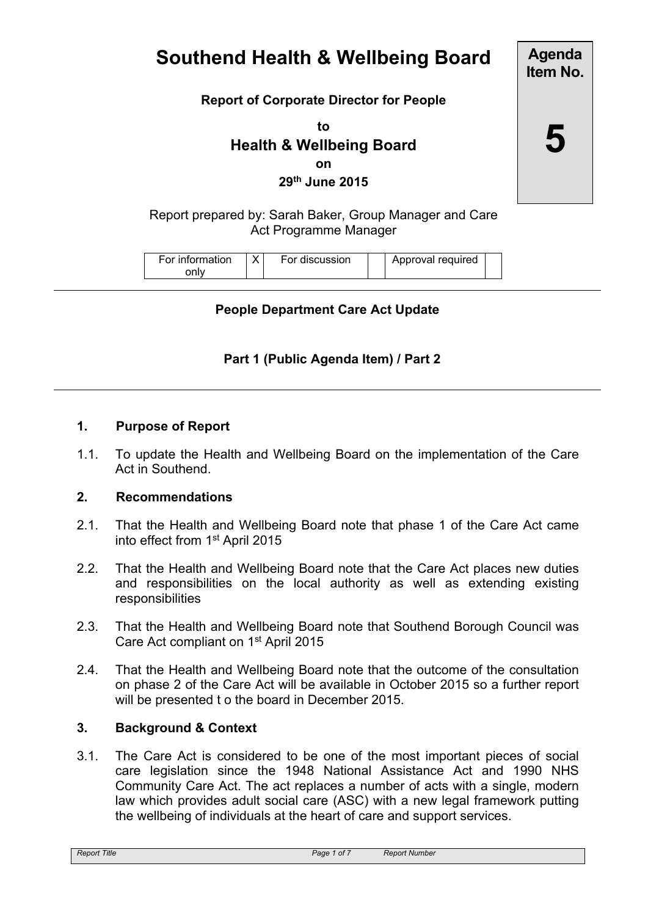# **Southend Health & Wellbeing Board**

# **Report of Corporate Director for People**

**to Health & Wellbeing Board on 29th June 2015**

Report prepared by: Sarah Baker, Group Manager and Care Act Programme Manager

| For information | v | For discussion |  | Approval required |  |
|-----------------|---|----------------|--|-------------------|--|
|-----------------|---|----------------|--|-------------------|--|

# **People Department Care Act Update**

## **Part 1 (Public Agenda Item) / Part 2**

#### **1. Purpose of Report**

1.1. To update the Health and Wellbeing Board on the implementation of the Care Act in Southend.

#### **2. Recommendations**

- 2.1. That the Health and Wellbeing Board note that phase 1 of the Care Act came into effect from 1<sup>st</sup> April 2015
- 2.2. That the Health and Wellbeing Board note that the Care Act places new duties and responsibilities on the local authority as well as extending existing responsibilities
- 2.3. That the Health and Wellbeing Board note that Southend Borough Council was Care Act compliant on 1<sup>st</sup> April 2015
- 2.4. That the Health and Wellbeing Board note that the outcome of the consultation on phase 2 of the Care Act will be available in October 2015 so a further report will be presented t o the board in December 2015.

#### **3. Background & Context**

3.1. The Care Act is considered to be one of the most important pieces of social care legislation since the 1948 National Assistance Act and 1990 NHS Community Care Act. The act replaces a number of acts with a single, modern law which provides adult social care (ASC) with a new legal framework putting the wellbeing of individuals at the heart of care and support services.

**Item No.**

**Agenda**

**5**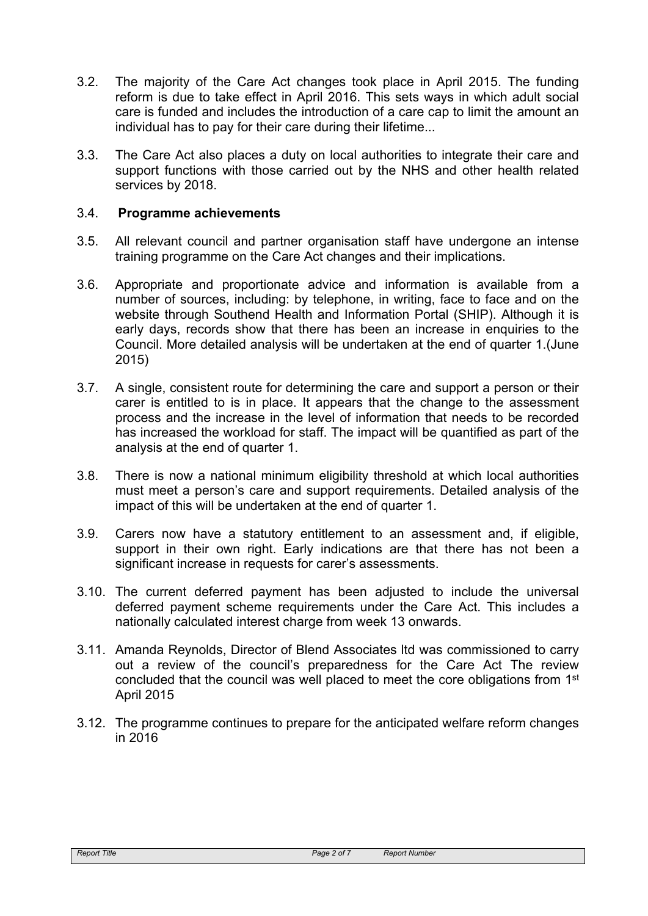- 3.2. The majority of the Care Act changes took place in April 2015. The funding reform is due to take effect in April 2016. This sets ways in which adult social care is funded and includes the introduction of a care cap to limit the amount an individual has to pay for their care during their lifetime...
- 3.3. The Care Act also places a duty on local authorities to integrate their care and support functions with those carried out by the NHS and other health related services by 2018.

# 3.4. **Programme achievements**

- 3.5. All relevant council and partner organisation staff have undergone an intense training programme on the Care Act changes and their implications.
- 3.6. Appropriate and proportionate advice and information is available from a number of sources, including: by telephone, in writing, face to face and on the website through Southend Health and Information Portal (SHIP). Although it is early days, records show that there has been an increase in enquiries to the Council. More detailed analysis will be undertaken at the end of quarter 1.(June 2015)
- 3.7. A single, consistent route for determining the care and support a person or their carer is entitled to is in place. It appears that the change to the assessment process and the increase in the level of information that needs to be recorded has increased the workload for staff. The impact will be quantified as part of the analysis at the end of quarter 1.
- 3.8. There is now a national minimum eligibility threshold at which local authorities must meet a person's care and support requirements. Detailed analysis of the impact of this will be undertaken at the end of quarter 1.
- 3.9. Carers now have a statutory entitlement to an assessment and, if eligible, support in their own right. Early indications are that there has not been a significant increase in requests for carer's assessments.
- 3.10. The current deferred payment has been adjusted to include the universal deferred payment scheme requirements under the Care Act. This includes a nationally calculated interest charge from week 13 onwards.
- 3.11. Amanda Reynolds, Director of Blend Associates ltd was commissioned to carry out a review of the council's preparedness for the Care Act The review concluded that the council was well placed to meet the core obligations from 1<sup>st</sup> April 2015
- 3.12. The programme continues to prepare for the anticipated welfare reform changes in 2016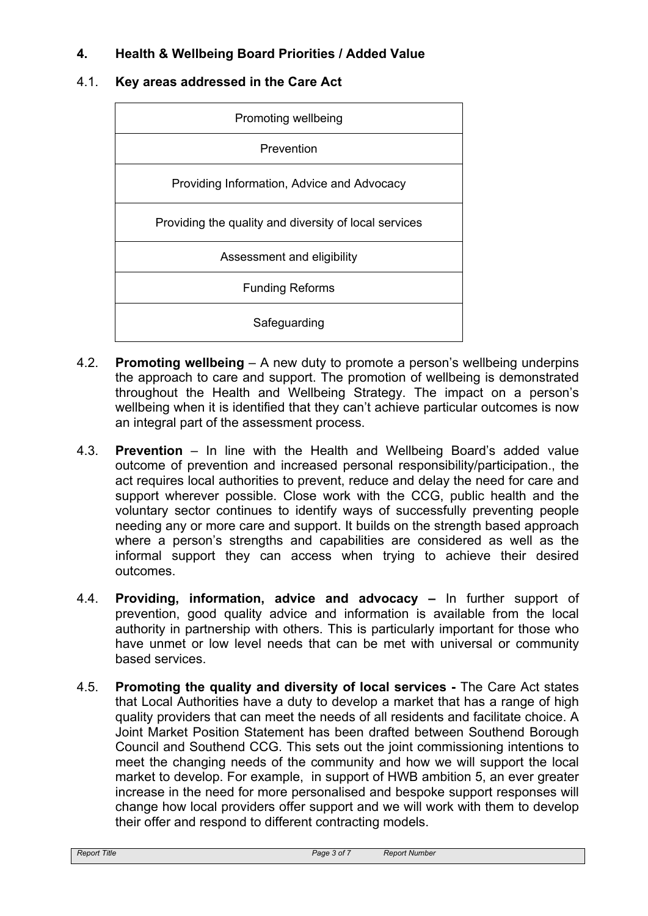# **4. Health & Wellbeing Board Priorities / Added Value**

## 4.1. **Key areas addressed in the Care Act**

| Promoting wellbeing                                   |  |  |
|-------------------------------------------------------|--|--|
| Prevention                                            |  |  |
| Providing Information, Advice and Advocacy            |  |  |
| Providing the quality and diversity of local services |  |  |
| Assessment and eligibility                            |  |  |
| <b>Funding Reforms</b>                                |  |  |
| Safeguarding                                          |  |  |

- 4.2. **Promoting wellbeing** A new duty to promote a person's wellbeing underpins the approach to care and support. The promotion of wellbeing is demonstrated throughout the Health and Wellbeing Strategy. The impact on a person's wellbeing when it is identified that they can't achieve particular outcomes is now an integral part of the assessment process.
- 4.3. **Prevention** In line with the Health and Wellbeing Board's added value outcome of prevention and increased personal responsibility/participation., the act requires local authorities to prevent, reduce and delay the need for care and support wherever possible. Close work with the CCG, public health and the voluntary sector continues to identify ways of successfully preventing people needing any or more care and support. It builds on the strength based approach where a person's strengths and capabilities are considered as well as the informal support they can access when trying to achieve their desired outcomes.
- 4.4. **Providing, information, advice and advocacy –** In further support of prevention, good quality advice and information is available from the local authority in partnership with others. This is particularly important for those who have unmet or low level needs that can be met with universal or community based services.
- 4.5. **Promoting the quality and diversity of local services -** The Care Act states that Local Authorities have a duty to develop a market that has a range of high quality providers that can meet the needs of all residents and facilitate choice. A Joint Market Position Statement has been drafted between Southend Borough Council and Southend CCG. This sets out the joint commissioning intentions to meet the changing needs of the community and how we will support the local market to develop. For example, in support of HWB ambition 5, an ever greater increase in the need for more personalised and bespoke support responses will change how local providers offer support and we will work with them to develop their offer and respond to different contracting models.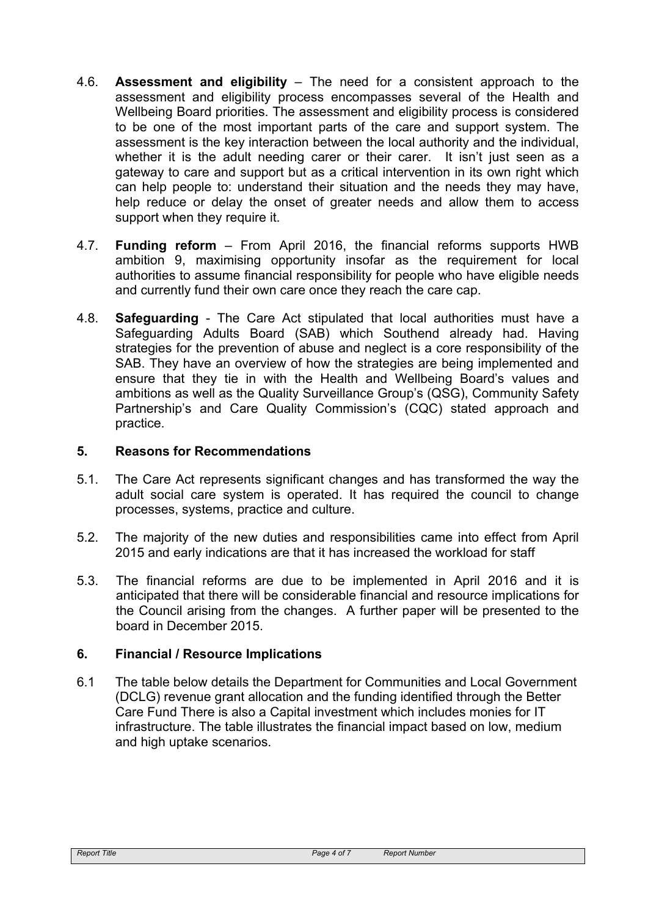- 4.6. **Assessment and eligibility** The need for a consistent approach to the assessment and eligibility process encompasses several of the Health and Wellbeing Board priorities. The assessment and eligibility process is considered to be one of the most important parts of the care and support system. The assessment is the key interaction between the local authority and the individual, whether it is the adult needing carer or their carer. It isn't just seen as a gateway to care and support but as a critical intervention in its own right which can help people to: understand their situation and the needs they may have, help reduce or delay the onset of greater needs and allow them to access support when they require it.
- 4.7. **Funding reform** From April 2016, the financial reforms supports HWB ambition 9, maximising opportunity insofar as the requirement for local authorities to assume financial responsibility for people who have eligible needs and currently fund their own care once they reach the care cap.
- 4.8. **Safeguarding** The Care Act stipulated that local authorities must have a Safeguarding Adults Board (SAB) which Southend already had. Having strategies for the prevention of abuse and neglect is a core responsibility of the SAB. They have an overview of how the strategies are being implemented and ensure that they tie in with the Health and Wellbeing Board's values and ambitions as well as the Quality Surveillance Group's (QSG), Community Safety Partnership's and Care Quality Commission's (CQC) stated approach and practice.

#### **5. Reasons for Recommendations**

- 5.1. The Care Act represents significant changes and has transformed the way the adult social care system is operated. It has required the council to change processes, systems, practice and culture.
- 5.2. The majority of the new duties and responsibilities came into effect from April 2015 and early indications are that it has increased the workload for staff
- 5.3. The financial reforms are due to be implemented in April 2016 and it is anticipated that there will be considerable financial and resource implications for the Council arising from the changes. A further paper will be presented to the board in December 2015.

# **6. Financial / Resource Implications**

6.1 The table below details the Department for Communities and Local Government (DCLG) revenue grant allocation and the funding identified through the Better Care Fund There is also a Capital investment which includes monies for IT infrastructure. The table illustrates the financial impact based on low, medium and high uptake scenarios.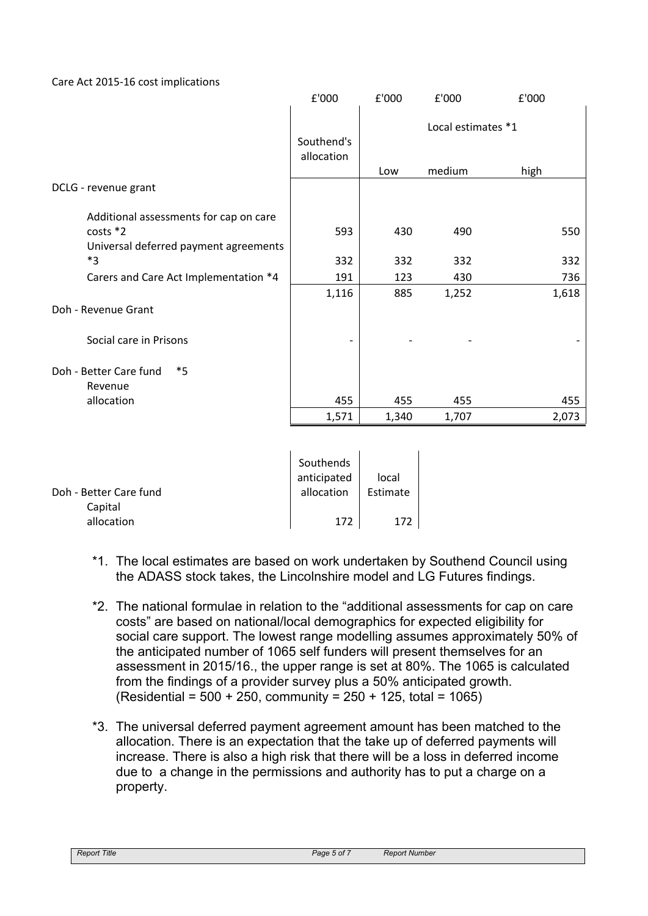Care Act 2015-16 cost implications

|                                               | £'000         | £'000 | £'000              | £'000 |
|-----------------------------------------------|---------------|-------|--------------------|-------|
|                                               | Southend's    |       | Local estimates *1 |       |
|                                               | allocation    | Low   | medium             | high  |
| DCLG - revenue grant                          |               |       |                    |       |
| Additional assessments for cap on care        |               |       |                    |       |
| costs *2                                      | 593           | 430   | 490                | 550   |
| Universal deferred payment agreements<br>$*3$ | 332           | 332   | 332                | 332   |
| Carers and Care Act Implementation *4         | 191           | 123   | 430                | 736   |
|                                               | 1,116         | 885   | 1,252              | 1,618 |
| Doh - Revenue Grant                           |               |       |                    |       |
| Social care in Prisons                        |               |       |                    |       |
| Doh - Better Care fund<br>$*_{5}$<br>Revenue  |               |       |                    |       |
| allocation                                    | 455           | 455   | 455                | 455   |
|                                               | 1,571         | 1,340 | 1,707              | 2,073 |
|                                               |               |       |                    |       |
|                                               | Southends     |       |                    |       |
|                                               | المصطصم تصلده | احمما |                    |       |

|                        | ---------   |          |  |
|------------------------|-------------|----------|--|
|                        | anticipated | local    |  |
| Doh - Better Care fund | allocation  | Estimate |  |
| Capital                |             |          |  |
| allocation             | 172         |          |  |

- \*1. The local estimates are based on work undertaken by Southend Council using the ADASS stock takes, the Lincolnshire model and LG Futures findings.
- \*2. The national formulae in relation to the "additional assessments for cap on care costs" are based on national/local demographics for expected eligibility for social care support. The lowest range modelling assumes approximately 50% of the anticipated number of 1065 self funders will present themselves for an assessment in 2015/16., the upper range is set at 80%. The 1065 is calculated from the findings of a provider survey plus a 50% anticipated growth.  $(Residential = 500 + 250, community = 250 + 125, total = 1065)$
- \*3. The universal deferred payment agreement amount has been matched to the allocation. There is an expectation that the take up of deferred payments will increase. There is also a high risk that there will be a loss in deferred income due to a change in the permissions and authority has to put a charge on a property.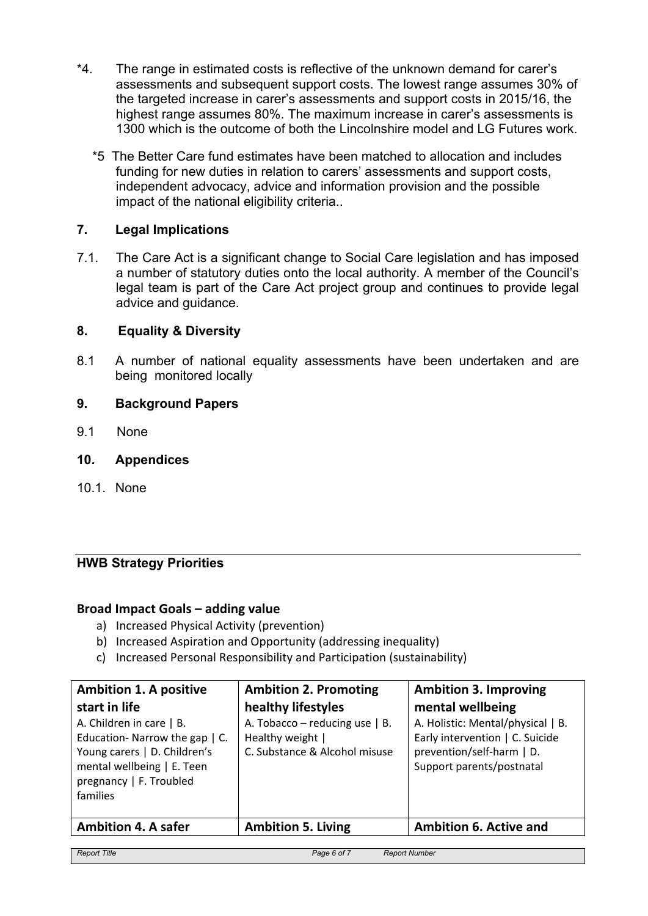- \*4. The range in estimated costs is reflective of the unknown demand for carer's assessments and subsequent support costs. The lowest range assumes 30% of the targeted increase in carer's assessments and support costs in 2015/16, the highest range assumes 80%. The maximum increase in carer's assessments is 1300 which is the outcome of both the Lincolnshire model and LG Futures work.
	- \*5 The Better Care fund estimates have been matched to allocation and includes funding for new duties in relation to carers' assessments and support costs, independent advocacy, advice and information provision and the possible impact of the national eligibility criteria..

## **7. Legal Implications**

7.1. The Care Act is a significant change to Social Care legislation and has imposed a number of statutory duties onto the local authority. A member of the Council's legal team is part of the Care Act project group and continues to provide legal advice and guidance.

#### **8. Equality & Diversity**

8.1 A number of national equality assessments have been undertaken and are being monitored locally

## **9. Background Papers**

- 9.1 None
- **10. Appendices**
- 10.1. None

# **HWB Strategy Priorities**

#### **Broad Impact Goals – adding value**

- a) Increased Physical Activity (prevention)
- b) Increased Aspiration and Opportunity (addressing inequality)
- c) Increased Personal Responsibility and Participation (sustainability)

| <b>Ambition 1. A positive</b><br>start in life<br>A. Children in care   B.<br>Education-Narrow the gap   C.<br>Young carers   D. Children's<br>mental wellbeing   E. Teen<br>pregnancy   F. Troubled<br>families | <b>Ambition 2. Promoting</b><br>healthy lifestyles<br>A. Tobacco – reducing use $ $ B.<br>Healthy weight  <br>C. Substance & Alcohol misuse | <b>Ambition 3. Improving</b><br>mental wellbeing<br>A. Holistic: Mental/physical   B.<br>Early intervention   C. Suicide<br>prevention/self-harm   D.<br>Support parents/postnatal |
|------------------------------------------------------------------------------------------------------------------------------------------------------------------------------------------------------------------|---------------------------------------------------------------------------------------------------------------------------------------------|------------------------------------------------------------------------------------------------------------------------------------------------------------------------------------|
| <b>Ambition 4. A safer</b>                                                                                                                                                                                       | <b>Ambition 5. Living</b>                                                                                                                   | <b>Ambition 6. Active and</b>                                                                                                                                                      |